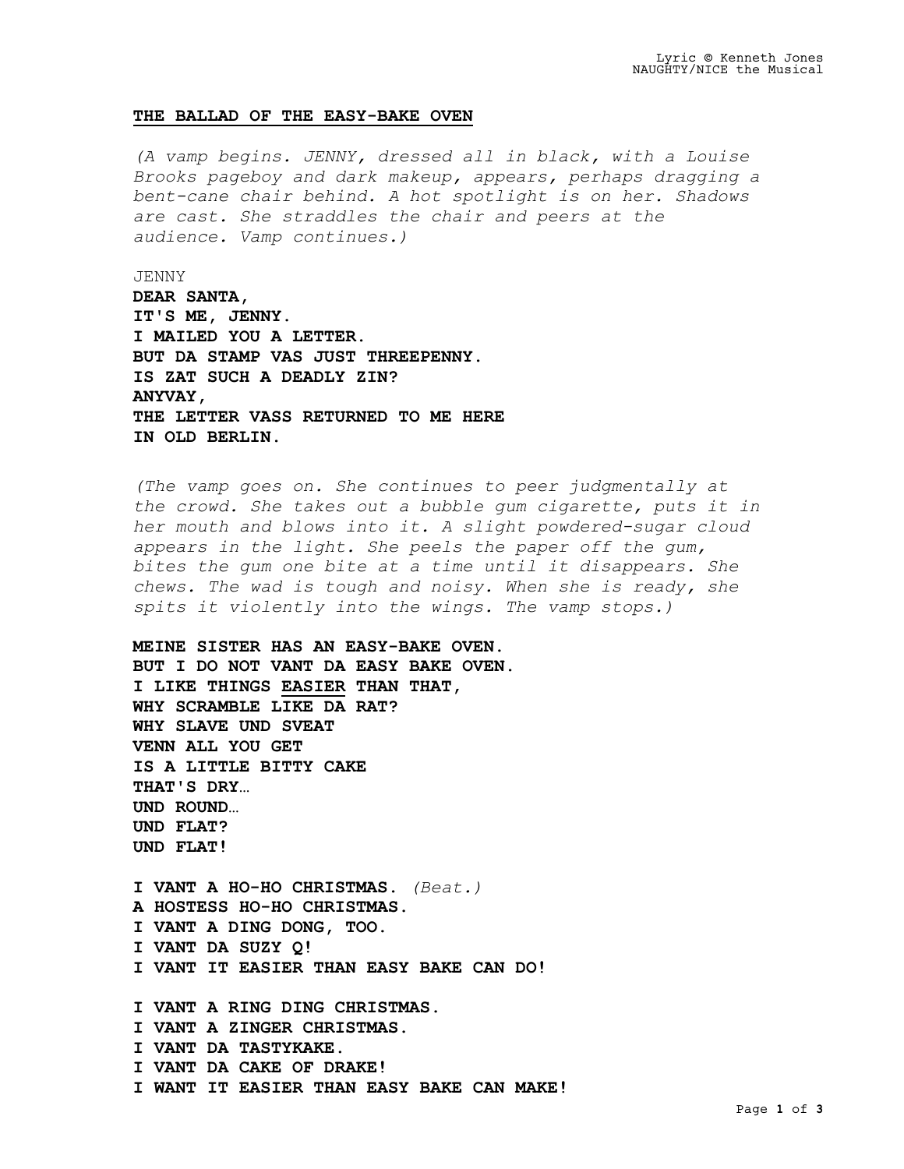## **THE BALLAD OF THE EASY-BAKE OVEN**

*(A vamp begins. JENNY, dressed all in black, with a Louise Brooks pageboy and dark makeup, appears, perhaps dragging a bent-cane chair behind. A hot spotlight is on her. Shadows are cast. She straddles the chair and peers at the audience. Vamp continues.)*

JENNY **DEAR SANTA, IT'S ME, JENNY. I MAILED YOU A LETTER. BUT DA STAMP VAS JUST THREEPENNY. IS ZAT SUCH A DEADLY ZIN? ANYVAY, THE LETTER VASS RETURNED TO ME HERE IN OLD BERLIN.**

*(The vamp goes on. She continues to peer judgmentally at the crowd. She takes out a bubble gum cigarette, puts it in her mouth and blows into it. A slight powdered-sugar cloud appears in the light. She peels the paper off the gum, bites the gum one bite at a time until it disappears. She chews. The wad is tough and noisy. When she is ready, she spits it violently into the wings. The vamp stops.)*

**MEINE SISTER HAS AN EASY-BAKE OVEN. BUT I DO NOT VANT DA EASY BAKE OVEN. I LIKE THINGS EASIER THAN THAT, WHY SCRAMBLE LIKE DA RAT? WHY SLAVE UND SVEAT VENN ALL YOU GET IS A LITTLE BITTY CAKE THAT'S DRY… UND ROUND… UND FLAT? UND FLAT!**

**I VANT A HO-HO CHRISTMAS.** *(Beat.)* **A HOSTESS HO-HO CHRISTMAS. I VANT A DING DONG, TOO. I VANT DA SUZY Q! I VANT IT EASIER THAN EASY BAKE CAN DO!**

**I VANT A RING DING CHRISTMAS. I VANT A ZINGER CHRISTMAS. I VANT DA TASTYKAKE. I VANT DA CAKE OF DRAKE! I WANT IT EASIER THAN EASY BAKE CAN MAKE!**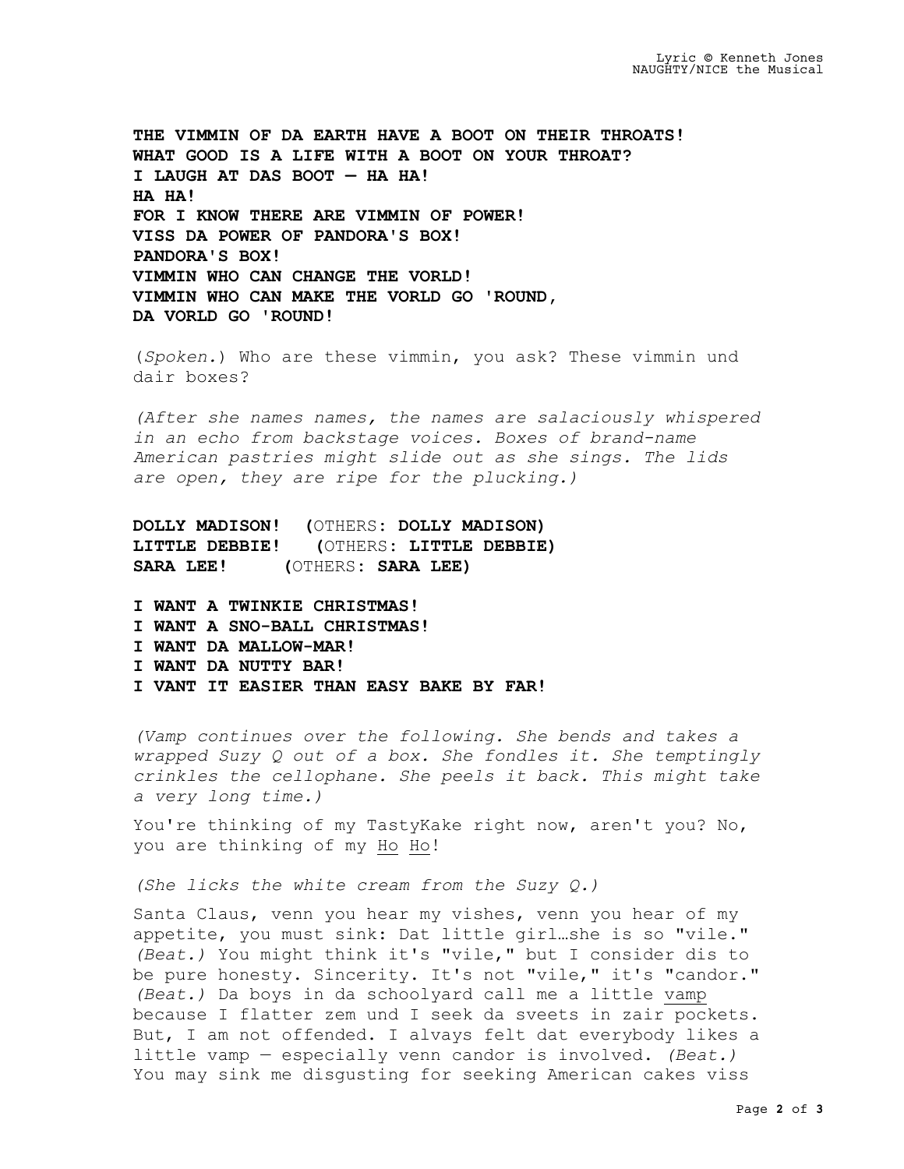**THE VIMMIN OF DA EARTH HAVE A BOOT ON THEIR THROATS! WHAT GOOD IS A LIFE WITH A BOOT ON YOUR THROAT? I LAUGH AT DAS BOOT — HA HA! HA HA! FOR I KNOW THERE ARE VIMMIN OF POWER! VISS DA POWER OF PANDORA'S BOX! PANDORA'S BOX! VIMMIN WHO CAN CHANGE THE VORLD! VIMMIN WHO CAN MAKE THE VORLD GO 'ROUND, DA VORLD GO 'ROUND!**

(*Spoken.*) Who are these vimmin, you ask? These vimmin und dair boxes?

*(After she names names, the names are salaciously whispered in an echo from backstage voices. Boxes of brand-name American pastries might slide out as she sings. The lids are open, they are ripe for the plucking.)*

**DOLLY MADISON! (**OTHERS**: DOLLY MADISON) LITTLE DEBBIE! (**OTHERS**: LITTLE DEBBIE) SARA LEE! (**OTHERS**: SARA LEE)**

- **I WANT A TWINKIE CHRISTMAS!**
- **I WANT A SNO-BALL CHRISTMAS!**
- **I WANT DA MALLOW-MAR!**
- **I WANT DA NUTTY BAR!**
- **I VANT IT EASIER THAN EASY BAKE BY FAR!**

*(Vamp continues over the following. She bends and takes a wrapped Suzy Q out of a box. She fondles it. She temptingly crinkles the cellophane. She peels it back. This might take a very long time.)*

You're thinking of my TastyKake right now, aren't you? No, you are thinking of my Ho Ho!

*(She licks the white cream from the Suzy Q.)*

Santa Claus, venn you hear my vishes, venn you hear of my appetite, you must sink: Dat little girl…she is so "vile." *(Beat.)* You might think it's "vile," but I consider dis to be pure honesty. Sincerity. It's not "vile," it's "candor." *(Beat.)* Da boys in da schoolyard call me a little vamp because I flatter zem und I seek da sveets in zair pockets. But, I am not offended. I alvays felt dat everybody likes a little vamp — especially venn candor is involved. *(Beat.)* You may sink me disgusting for seeking American cakes viss